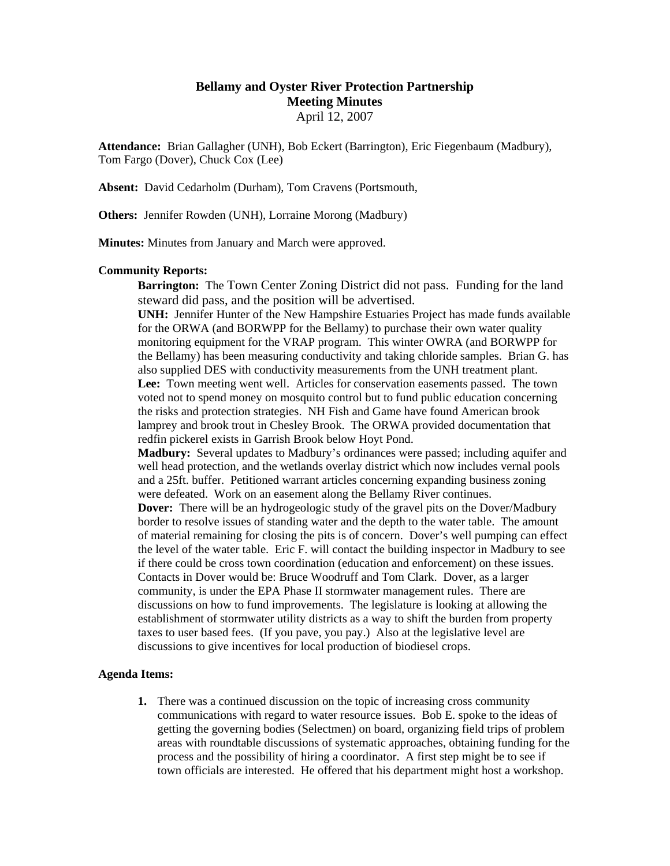## **Bellamy and Oyster River Protection Partnership Meeting Minutes** April 12, 2007

**Attendance:** Brian Gallagher (UNH), Bob Eckert (Barrington), Eric Fiegenbaum (Madbury), Tom Fargo (Dover), Chuck Cox (Lee)

**Absent:** David Cedarholm (Durham), Tom Cravens (Portsmouth,

**Others:** Jennifer Rowden (UNH), Lorraine Morong (Madbury)

**Minutes:** Minutes from January and March were approved.

## **Community Reports:**

**Barrington:** The Town Center Zoning District did not pass. Funding for the land steward did pass, and the position will be advertised.

**UNH:** Jennifer Hunter of the New Hampshire Estuaries Project has made funds available for the ORWA (and BORWPP for the Bellamy) to purchase their own water quality monitoring equipment for the VRAP program. This winter OWRA (and BORWPP for the Bellamy) has been measuring conductivity and taking chloride samples. Brian G. has also supplied DES with conductivity measurements from the UNH treatment plant. **Lee:** Town meeting went well. Articles for conservation easements passed. The town voted not to spend money on mosquito control but to fund public education concerning the risks and protection strategies. NH Fish and Game have found American brook lamprey and brook trout in Chesley Brook. The ORWA provided documentation that redfin pickerel exists in Garrish Brook below Hoyt Pond.

**Madbury:** Several updates to Madbury's ordinances were passed; including aquifer and well head protection, and the wetlands overlay district which now includes vernal pools and a 25ft. buffer. Petitioned warrant articles concerning expanding business zoning were defeated. Work on an easement along the Bellamy River continues.

**Dover:** There will be an hydrogeologic study of the gravel pits on the Dover/Madbury border to resolve issues of standing water and the depth to the water table. The amount of material remaining for closing the pits is of concern. Dover's well pumping can effect the level of the water table. Eric F. will contact the building inspector in Madbury to see if there could be cross town coordination (education and enforcement) on these issues. Contacts in Dover would be: Bruce Woodruff and Tom Clark. Dover, as a larger community, is under the EPA Phase II stormwater management rules. There are discussions on how to fund improvements. The legislature is looking at allowing the establishment of stormwater utility districts as a way to shift the burden from property taxes to user based fees. (If you pave, you pay.) Also at the legislative level are discussions to give incentives for local production of biodiesel crops.

## **Agenda Items:**

**1.** There was a continued discussion on the topic of increasing cross community communications with regard to water resource issues. Bob E. spoke to the ideas of getting the governing bodies (Selectmen) on board, organizing field trips of problem areas with roundtable discussions of systematic approaches, obtaining funding for the process and the possibility of hiring a coordinator. A first step might be to see if town officials are interested. He offered that his department might host a workshop.